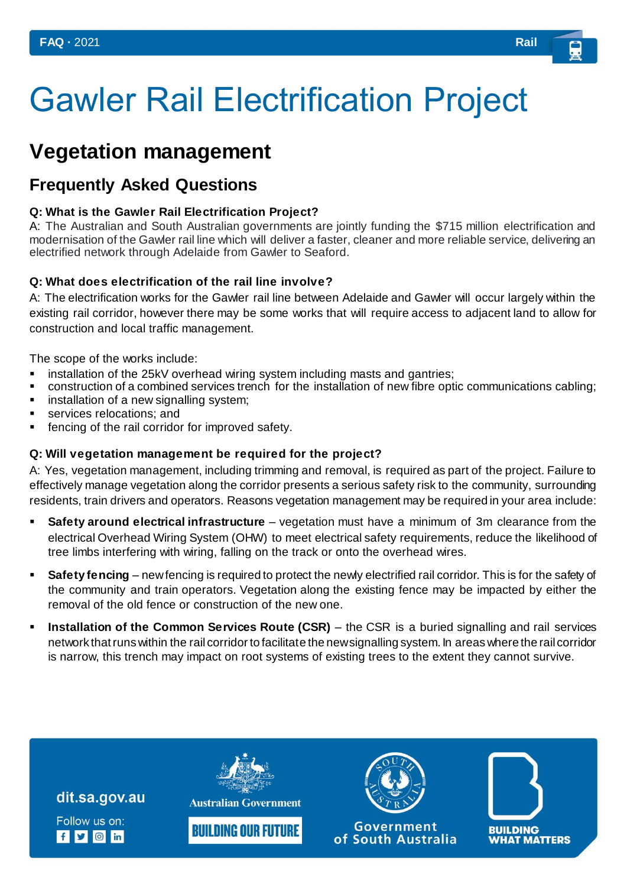# Gawler Rail Electrification Project

## **Vegetation management**

### **Frequently Asked Questions**

#### **Q: What is the Gawler Rail Electrification Project?**

A: The Australian and South Australian governments are jointly funding the \$715 million electrification and modernisation of the Gawler rail line which will deliver a faster, cleaner and more reliable service, delivering an electrified network through Adelaide from Gawler to Seaford.

#### **Q: What does electrification of the rail line involve?**

A: The electrification works for the Gawler rail line between Adelaide and Gawler will occur largely within the existing rail corridor, however there may be some works that will require access to adjacent land to allow for construction and local traffic management.

The scope of the works include:

- **EXEDENT Installation of the 25kV overhead wiring system including masts and gantries;**
- construction of a combined services trench for the installation of new fibre optic communications cabling;
- **EXECT** installation of a new signalling system;
- **services relocations; and**
- **fencing of the rail corridor for improved safety.**

#### **Q: Will vegetation management be required for the project?**

A: Yes, vegetation management, including trimming and removal, is required as part of the project. Failure to effectively manage vegetation along the corridor presents a serious safety risk to the community, surrounding residents, train drivers and operators. Reasons vegetation management may be required in your area include:

- **Safety around electrical infrastructure** vegetation must have a minimum of 3m clearance from the electrical Overhead Wiring System (OHW) to meet electrical safety requirements, reduce the likelihood of tree limbs interfering with wiring, falling on the track or onto the overhead wires.
- **Safety fencing** new fencing is required to protect the newly electrified rail corridor. This is for the safety of the community and train operators. Vegetation along the existing fence may be impacted by either the removal of the old fence or construction of the new one.
- **Installation of the Common Services Route (CSR)** the CSR is a buried signalling and rail services network that runs within the rail corridor to facilitate the new signalling system. In areas where the rail corridor is narrow, this trench may impact on root systems of existing trees to the extent they cannot survive.